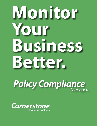# Monitor Your **Business** Better.

Policy Compliance **Manager**